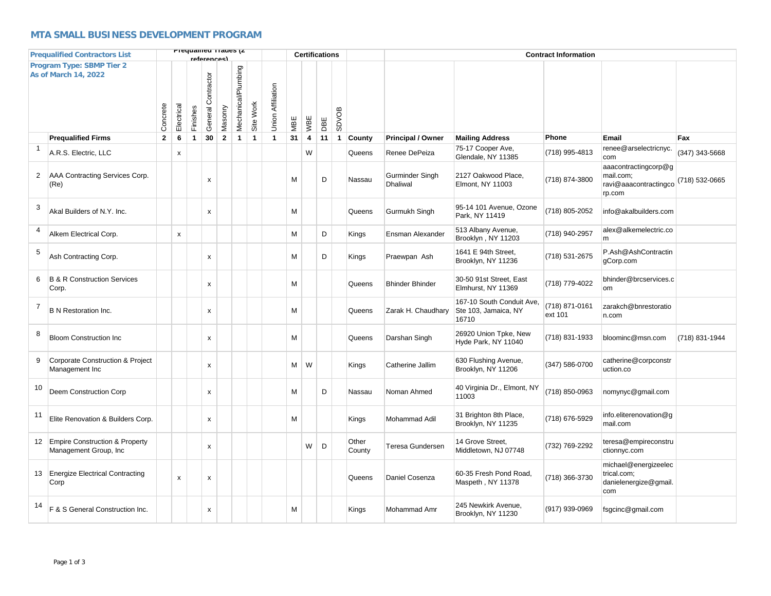## **MTA SMALL BUSINESS DEVELOPMENT PROGRAM**

|                | <b>Prequalified Contractors List</b>                       |              |                    |              | Frequamed Trades (Z<br><u>raforoncos)</u> |                         |                     |              |                          |     | <b>Certifications</b>   |     |              |                 |                             |                                                            | <b>Contract Information</b> |                                                                      |                |  |  |  |  |
|----------------|------------------------------------------------------------|--------------|--------------------|--------------|-------------------------------------------|-------------------------|---------------------|--------------|--------------------------|-----|-------------------------|-----|--------------|-----------------|-----------------------------|------------------------------------------------------------|-----------------------------|----------------------------------------------------------------------|----------------|--|--|--|--|
|                | Program Type: SBMP Tier 2<br><b>As of March 14, 2022</b>   | Concrete     | Electrical         | Finishes     | General Contractor                        | Masonry                 | Mechanical/Plumbing | Site Work    | <b>Union Affiliation</b> | MBE | WBE                     | DBE | <b>SDVOB</b> |                 |                             |                                                            |                             |                                                                      |                |  |  |  |  |
|                | <b>Prequalified Firms</b>                                  | $\mathbf{2}$ | 6                  | $\mathbf{1}$ | 30                                        | $\overline{\mathbf{2}}$ | $\mathbf{1}$        | $\mathbf{1}$ | $\mathbf{1}$             | 31  | $\overline{\mathbf{4}}$ | 11  | $\mathbf{1}$ | County          | <b>Principal / Owner</b>    | <b>Mailing Address</b>                                     | Phone                       | Email                                                                | Fax            |  |  |  |  |
|                | A.R.S. Electric, LLC                                       |              | x                  |              |                                           |                         |                     |              |                          |     | W                       |     |              | Queens          | Renee DePeiza               | 75-17 Cooper Ave,<br>Glendale, NY 11385                    | (718) 995-4813              | renee@arselectricnyc.<br>com                                         | (347) 343-5668 |  |  |  |  |
| 2              | AAA Contracting Services Corp.<br>(Re)                     |              |                    |              | $\boldsymbol{\mathsf{X}}$                 |                         |                     |              |                          | M   |                         | D   |              | Nassau          | Gurminder Singh<br>Dhaliwal | 2127 Oakwood Place,<br>Elmont, NY 11003                    | (718) 874-3800              | aaacontractingcorp@g<br>mail.com;<br>ravi@aaacontractingco<br>rp.com | (718) 532-0665 |  |  |  |  |
| 3              | Akal Builders of N.Y. Inc.                                 |              |                    |              | $\mathsf{x}$                              |                         |                     |              |                          | M   |                         |     |              | Queens          | Gurmukh Singh               | 95-14 101 Avenue, Ozone<br>Park, NY 11419                  | (718) 805-2052              | info@akalbuilders.com                                                |                |  |  |  |  |
| 4              | Alkem Electrical Corp.                                     |              | x                  |              |                                           |                         |                     |              |                          | M   |                         | D   |              | Kings           | Ensman Alexander            | 513 Albany Avenue,<br>Brooklyn, NY 11203                   | (718) 940-2957              | alex@alkemelectric.co<br>m                                           |                |  |  |  |  |
| 5              | Ash Contracting Corp.                                      |              |                    |              | $\boldsymbol{\mathsf{x}}$                 |                         |                     |              |                          | M   |                         | D   |              | Kings           | Praewpan Ash                | 1641 E 94th Street,<br>Brooklyn, NY 11236                  | (718) 531-2675              | P.Ash@AshContractin<br>gCorp.com                                     |                |  |  |  |  |
| 6              | <b>B &amp; R Construction Services</b><br>Corp.            |              |                    |              | $\mathsf{x}$                              |                         |                     |              |                          | M   |                         |     |              | Queens          | <b>Bhinder Bhinder</b>      | 30-50 91st Street, East<br>Elmhurst, NY 11369              | (718) 779-4022              | bhinder@brcservices.c<br>om                                          |                |  |  |  |  |
| $\overline{7}$ | <b>B N Restoration Inc.</b>                                |              |                    |              | $\boldsymbol{\mathsf{x}}$                 |                         |                     |              |                          | M   |                         |     |              | Queens          | Zarak H. Chaudhary          | 167-10 South Conduit Ave,<br>Ste 103, Jamaica, NY<br>16710 | (718) 871-0161<br>ext 101   | zarakch@bnrestoratio<br>n.com                                        |                |  |  |  |  |
| 8              | <b>Bloom Construction Inc.</b>                             |              |                    |              | $\boldsymbol{\mathsf{x}}$                 |                         |                     |              |                          | M   |                         |     |              | Queens          | Darshan Singh               | 26920 Union Tpke, New<br>Hyde Park, NY 11040               | (718) 831-1933              | bloominc@msn.com                                                     | (718) 831-1944 |  |  |  |  |
| 9              | Corporate Construction & Project<br>Management Inc         |              |                    |              | $\pmb{\times}$                            |                         |                     |              |                          | M   | W                       |     |              | Kings           | Catherine Jallim            | 630 Flushing Avenue,<br>Brooklyn, NY 11206                 | (347) 586-0700              | catherine@corpconstr<br>uction.co                                    |                |  |  |  |  |
| 10             | Deem Construction Corp                                     |              |                    |              | $\pmb{\times}$                            |                         |                     |              |                          | М   |                         | D   |              | Nassau          | Noman Ahmed                 | 40 Virginia Dr., Elmont, NY<br>11003                       | (718) 850-0963              | nomynyc@gmail.com                                                    |                |  |  |  |  |
| 11             | Elite Renovation & Builders Corp.                          |              |                    |              | $\pmb{\mathsf{x}}$                        |                         |                     |              |                          | M   |                         |     |              | Kings           | Mohammad Adil               | 31 Brighton 8th Place,<br>Brooklyn, NY 11235               | (718) 676-5929              | info.eliterenovation@g<br>mail.com                                   |                |  |  |  |  |
|                | 12 Empire Construction & Property<br>Management Group, Inc |              |                    |              | $\boldsymbol{\mathsf{x}}$                 |                         |                     |              |                          |     | W                       | D   |              | Other<br>County | <b>Teresa Gundersen</b>     | 14 Grove Street,<br>Middletown, NJ 07748                   | (732) 769-2292              | teresa@empireconstru<br>ctionnyc.com                                 |                |  |  |  |  |
| 13             | <b>Energize Electrical Contracting</b><br>Corp             |              | $\pmb{\mathsf{x}}$ |              | $\pmb{\chi}$                              |                         |                     |              |                          |     |                         |     |              | Queens          | Daniel Cosenza              | 60-35 Fresh Pond Road.<br>Maspeth, NY 11378                | (718) 366-3730              | michael@energizeelec<br>trical.com;<br>danielenergize@gmail.<br>com  |                |  |  |  |  |
| 14             | F & S General Construction Inc.                            |              |                    |              | X                                         |                         |                     |              |                          | М   |                         |     |              | Kings           | Mohammad Amr                | 245 Newkirk Avenue,<br>Brooklyn, NY 11230                  | (917) 939-0969              | fsgcinc@gmail.com                                                    |                |  |  |  |  |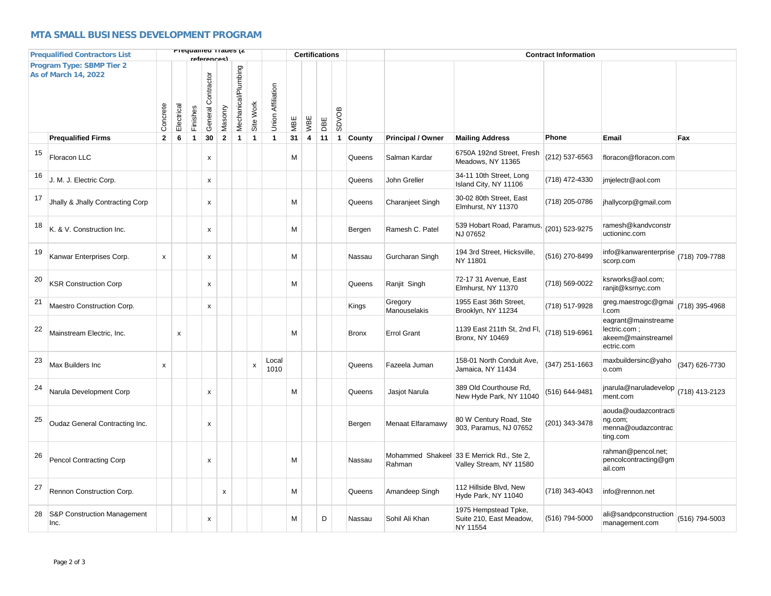## **MTA SMALL BUSINESS DEVELOPMENT PROGRAM**

|                                                          | <b>Prequalified Contractors List</b> |                           |                           |              | rafarancas)               | Prequamed Trades (Z            |              |                   |     |                | <b>Certifications</b> |              |              |                          |                                                                      | <b>Contract Information</b> |                                                                          |                |  |  |  |  |
|----------------------------------------------------------|--------------------------------------|---------------------------|---------------------------|--------------|---------------------------|--------------------------------|--------------|-------------------|-----|----------------|-----------------------|--------------|--------------|--------------------------|----------------------------------------------------------------------|-----------------------------|--------------------------------------------------------------------------|----------------|--|--|--|--|
| Program Type: SBMP Tier 2<br><b>As of March 14, 2022</b> |                                      |                           | Electrical                | Finishes     | General Contractor        | Mechanical/Plumbing<br>Masonry | Site Work    | Union Affiliation | MBE | WBE            | DBE                   | <b>SDVOB</b> |              |                          |                                                                      |                             |                                                                          |                |  |  |  |  |
|                                                          | <b>Prequalified Firms</b>            | $\mathbf{2}$              | 6                         | $\mathbf{1}$ | 30                        | $\mathbf 2$<br>$\mathbf{1}$    | $\mathbf{1}$ | $\mathbf{1}$      | 31  | $\overline{4}$ | 11                    | $\mathbf{1}$ | County       | <b>Principal / Owner</b> | <b>Mailing Address</b>                                               | Phone                       | Email                                                                    | Fax            |  |  |  |  |
| 15                                                       | Floracon LLC                         |                           |                           |              | x                         |                                |              |                   | M   |                |                       |              | Queens       | Salman Kardar            | 6750A 192nd Street, Fresh<br>Meadows, NY 11365                       | (212) 537-6563              | floracon@floracon.com                                                    |                |  |  |  |  |
| 16                                                       | J. M. J. Electric Corp.              |                           |                           |              | x                         |                                |              |                   |     |                |                       |              | Queens       | John Greller             | 34-11 10th Street, Long<br>Island City, NY 11106                     | (718) 472-4330              | jmjelectr@aol.com                                                        |                |  |  |  |  |
| 17                                                       | Jhally & Jhally Contracting Corp     |                           |                           |              | x                         |                                |              |                   | M   |                |                       |              | Queens       | Charanjeet Singh         | 30-02 80th Street, East<br>Elmhurst, NY 11370                        | (718) 205-0786              | jhallycorp@gmail.com                                                     |                |  |  |  |  |
| 18                                                       | K. & V. Construction Inc.            |                           |                           |              | x                         |                                |              |                   | M   |                |                       |              | Bergen       | Ramesh C. Patel          | 539 Hobart Road, Paramus,<br>NJ 07652                                | (201) 523-9275              | ramesh@kandvconstr<br>uctioninc.com                                      |                |  |  |  |  |
| 19                                                       | Kanwar Enterprises Corp.             | $\boldsymbol{\mathsf{x}}$ |                           |              | x                         |                                |              |                   | M   |                |                       |              | Nassau       | Gurcharan Singh          | 194 3rd Street, Hicksville,<br>NY 11801                              | (516) 270-8499              | info@kanwarenterprise<br>scorp.com                                       | (718) 709-7788 |  |  |  |  |
| 20                                                       | <b>KSR Construction Corp</b>         |                           |                           |              | x                         |                                |              |                   | M   |                |                       |              | Queens       | Ranjit Singh             | 72-17 31 Avenue, East<br>Elmhurst. NY 11370                          | (718) 569-0022              | ksrworks@aol.com;<br>ranjit@ksrnyc.com                                   |                |  |  |  |  |
| 21                                                       | Maestro Construction Corp.           |                           |                           |              | $\boldsymbol{\mathsf{x}}$ |                                |              |                   |     |                |                       |              | Kings        | Gregory<br>Manouselakis  | 1955 East 36th Street,<br>Brooklyn, NY 11234                         | (718) 517-9928              | greg.maestrogc@gmai<br>I.com                                             | (718) 395-4968 |  |  |  |  |
| 22                                                       | Mainstream Electric, Inc.            |                           | $\boldsymbol{\mathsf{x}}$ |              |                           |                                |              |                   | M   |                |                       |              | <b>Bronx</b> | <b>Errol Grant</b>       | 1139 East 211th St, 2nd Fl,<br>Bronx, NY 10469                       | (718) 519-6961              | eagrant@mainstreame<br>lectric.com ;<br>akeem@mainstreamel<br>ectric.com |                |  |  |  |  |
| 23                                                       | Max Builders Inc                     | x                         |                           |              |                           |                                | X            | Local<br>1010     |     |                |                       |              | Queens       | Fazeela Juman            | 158-01 North Conduit Ave,<br>Jamaica, NY 11434                       | (347) 251-1663              | maxbuildersinc@yaho<br>o.com                                             | (347) 626-7730 |  |  |  |  |
| 24                                                       | Narula Development Corp              |                           |                           |              | x                         |                                |              |                   | M   |                |                       |              | Queens       | Jasjot Narula            | 389 Old Courthouse Rd,<br>New Hyde Park, NY 11040                    | (516) 644-9481              | jnarula@naruladevelop<br>ment.com                                        | (718) 413-2123 |  |  |  |  |
| 25                                                       | Oudaz General Contracting Inc.       |                           |                           |              | x                         |                                |              |                   |     |                |                       |              | Bergen       | Menaat Elfaramawy        | 80 W Century Road, Ste<br>303, Paramus, NJ 07652                     | (201) 343-3478              | aouda@oudazcontracti<br>ng.com;<br>menna@oudazcontrac<br>ting.com        |                |  |  |  |  |
| 26                                                       | <b>Pencol Contracting Corp</b>       |                           |                           |              | x                         |                                |              |                   | M   |                |                       |              | Nassau       | Rahman                   | Mohammed Shakeel 33 E Merrick Rd., Ste 2,<br>Valley Stream, NY 11580 |                             | rahman@pencol.net;<br>pencolcontracting@gm<br>ail.com                    |                |  |  |  |  |
| 27                                                       | Rennon Construction Corp.            |                           |                           |              |                           | x                              |              |                   | M   |                |                       |              | Queens       | Amandeep Singh           | 112 Hillside Blvd, New<br>Hyde Park, NY 11040                        | (718) 343-4043              | info@rennon.net                                                          |                |  |  |  |  |
| 28                                                       | S&P Construction Management<br>Inc.  |                           |                           |              | x                         |                                |              |                   | M   |                | D                     |              | Nassau       | Sohil Ali Khan           | 1975 Hempstead Tpke,<br>Suite 210, East Meadow,<br>NY 11554          | (516) 794-5000              | ali@sandpconstruction<br>management.com                                  | (516) 794-5003 |  |  |  |  |